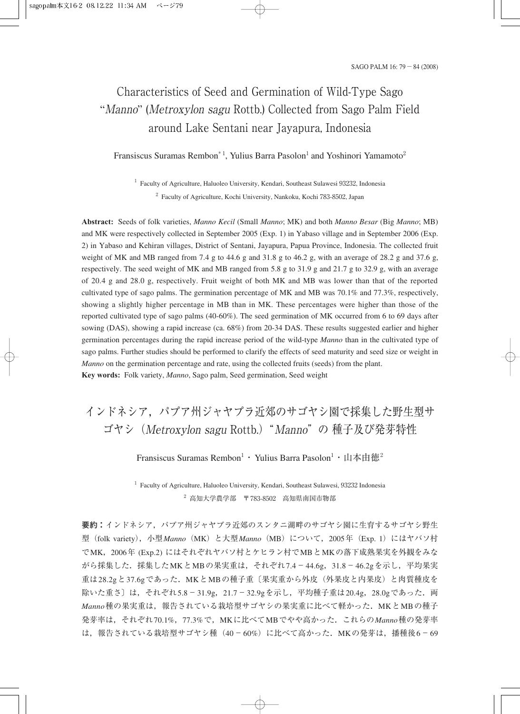# Characteristics of Seed and Germination of Wild-Type Sago "Manno" (Metroxylon sagu Rottb.) Collected from Sago Palm Field around Lake Sentani near Jayapura, Indonesia

Fransiscus Suramas Rembon\*<sup>1</sup>, Yulius Barra Pasolon<sup>1</sup> and Yoshinori Yamamoto<sup>2</sup>

<sup>1</sup> Faculty of Agriculture, Haluoleo University, Kendari, Southeast Sulawesi 93232, Indonesia <sup>2</sup> Faculty of Agriculture, Kochi University, Nankoku, Kochi 783-8502, Japan

**Abstract:** Seeds of folk varieties, *Manno Kecil* (Small *Manno*; MK) and both *Manno Besar* (Big *Manno*; MB) and MK were respectively collected in September 2005 (Exp. 1) in Yabaso village and in September 2006 (Exp. 2) in Yabaso and Kehiran villages, District of Sentani, Jayapura, Papua Province, Indonesia. The collected fruit weight of MK and MB ranged from 7.4 g to 44.6 g and 31.8 g to 46.2 g, with an average of 28.2 g and 37.6 g, respectively. The seed weight of MK and MB ranged from 5.8 g to 31.9 g and 21.7 g to 32.9 g, with an average of 20.4 g and 28.0 g, respectively. Fruit weight of both MK and MB was lower than that of the reported cultivated type of sago palms. The germination percentage of MK and MB was 70.1% and 77.3%, respectively, showing a slightly higher percentage in MB than in MK. These percentages were higher than those of the reported cultivated type of sago palms (40-60%). The seed germination of MK occurred from 6 to 69 days after sowing (DAS), showing a rapid increase (ca. 68%) from 20-34 DAS. These results suggested earlier and higher germination percentages during the rapid increase period of the wild-type *Manno* than in the cultivated type of sago palms. Further studies should be performed to clarify the effects of seed maturity and seed size or weight in *Manno* on the germination percentage and rate, using the collected fruits (seeds) from the plant. **Key words:** Folk variety, *Manno*, Sago palm, Seed germination, Seed weight

# インドネシア、パプア州ジャヤプラ近郊のサゴヤシ園で採集した野生型サ ゴヤシ(Metroxylon sagu Rottb.)"Manno"の 種子及び発芽特性

Fransiscus Suramas Rembon $^{\rm l}\cdot\,$ Yulius Barra Pasolon $^{\rm l}\cdot\,$ 山本由徳 $^{\rm 2}$ 

<sup>1</sup> Faculty of Agriculture, Haluoleo University, Kendari, Southeast Sulawesi, 93232 Indonesia  $2$  高知大学農学部 〒783-8502 高知県南国市物部

**要約:**インドネシア,パプア州ジャヤプラ近郊のスンタニ湖畔のサゴヤシ園に生育するサゴヤシ野生 型 (folk variety), 小型*Manno* (MK) と大型 Manno (MB) について, 2005年 (Exp. 1) にはヤバソ村 でMK,2006年 (Exp.2) にはそれぞれヤバソ村とケヒラン村でMBとMKの落下成熟果実を外観をみな がら採集した. 採集したMKとMBの果実重は、それぞれ7.4-44.6g, 31.8-46.2gを示し、平均果実 重は28.2gと37.6gであった. MKとMBの種子重〔果実重から外皮(外果皮と内果皮)と肉質種皮を 除いた重さ〕は, それぞれ5.8-31.9g, 21.7-32.9gを示し, 平均種子重は20.4g, 28.0gであった. 両 *Manno*種の果実重は,報告されている栽培型サゴヤシの果実重に比べて軽かった.MKとMBの種子 発芽率は,それぞれ70.1%,77.3%で,MKに比べてMBでやや高かった.これらの*Manno*種の発芽率 は、報告されている栽培型サゴヤシ種(40-60%)に比べて高かった. MKの発芽は、播種後6-69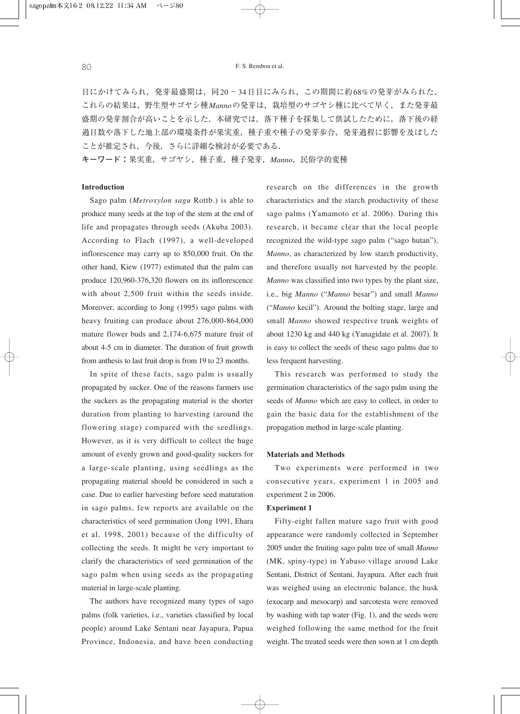日にかけてみられ,発芽最盛期は、同20-34日目にみられ、この期間に約68%の発芽がみられた. これらの結果は,野生型サゴヤシ種*Manno*の発芽は,栽培型のサゴヤシ種に比べて早く,また発芽最 盛期の発芽割合が高いことを示した.本研究では,落下種子を採集して供試したために,落下後の経 過日数や落下した地上部の環境条件が果実重,種子重や種子の発芽歩合,発芽過程に影響を及ぼした ことが推定され,今後,さらに詳細な検討が必要である.

**キーワード:**果実重,サゴヤシ,種子重,種子発芽,*Manno*,民俗学的変種

# **Introduction**

Sago palm (*Metroxylon sagu* Rottb.) is able to produce many seeds at the top of the stem at the end of life and propagates through seeds (Akuba 2003). According to Flach (1997), a well-developed inflorescence may carry up to 850,000 fruit. On the other hand, Kiew (1977) estimated that the palm can produce 120,960-376,320 flowers on its inflorescence with about 2,500 fruit within the seeds inside. Moreover, according to Jong (1995) sago palms with heavy fruiting can produce about 276,000-864,000 mature flower buds and 2,174-6,675 mature fruit of about 4-5 cm in diameter. The duration of fruit growth from anthesis to last fruit drop is from 19 to 23 months.

In spite of these facts, sago palm is usually propagated by sucker. One of the reasons farmers use the suckers as the propagating material is the shorter duration from planting to harvesting (around the flowering stage) compared with the seedlings. However, as it is very difficult to collect the huge amount of evenly grown and good-quality suckers for a large-scale planting, using seedlings as the propagating material should be considered in such a case. Due to earlier harvesting before seed maturation in sago palms, few reports are available on the characteristics of seed germination (Jong 1991, Ehara et al. 1998, 2001) because of the difficulty of collecting the seeds. It might be very important to clarify the characteristics of seed germination of the sago palm when using seeds as the propagating material in large-scale planting.

The authors have recognized many types of sago palms (folk varieties, i.e., varieties classified by local people) around Lake Sentani near Jayapura, Papua Province, Indonesia, and have been conducting

research on the differences in the growth characteristics and the starch productivity of these sago palms (Yamamoto et al. 2006). During this research, it became clear that the local people recognized the wild-type sago palm ("sago hutan"), *Manno*, as characterized by low starch productivity, and therefore usually not harvested by the people. *Manno* was classified into two types by the plant size, i.e., big *Manno* ("*Manno* besar") and small *Manno* ("*Manno* kecil"). Around the bolting stage, large and small *Manno* showed respective trunk weights of about 1230 kg and 440 kg (Yanagidate et al. 2007). It is easy to collect the seeds of these sago palms due to less frequent harvesting.

This research was performed to study the germination characteristics of the sago palm using the seeds of *Manno* which are easy to collect, in order to gain the basic data for the establishment of the propagation method in large-scale planting.

## **Materials and Methods**

Two experiments were performed in two consecutive years, experiment 1 in 2005 and experiment 2 in 2006.

## **Experiment 1**

Fifty-eight fallen mature sago fruit with good appearance were randomly collected in September 2005 under the fruiting sago palm tree of small *Manno* (MK, spiny-type) in Yabaso village around Lake Sentani, District of Sentani, Jayapura. After each fruit was weighed using an electronic balance, the husk (exocarp and mesocarp) and sarcotesta were removed by washing with tap water (Fig. 1), and the seeds were weighed following the same method for the fruit weight. The treated seeds were then sown at 1 cm depth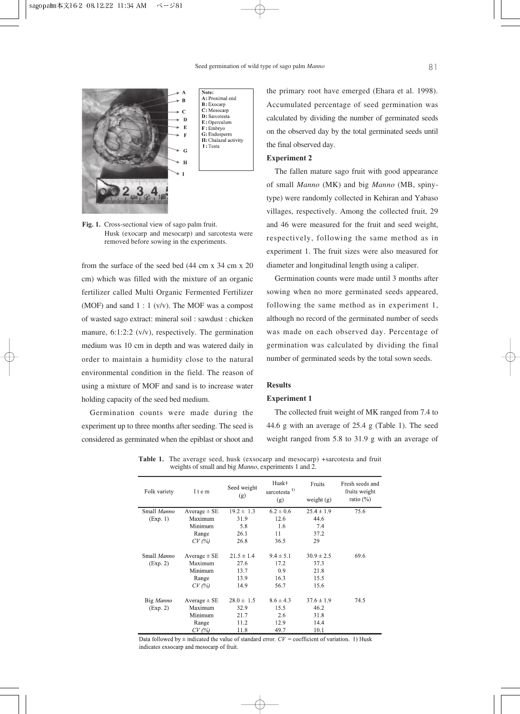

Note: A: Proximal end  $\mathbf{B}$ : Exocarp C: Mesocarp  $D:$  Sarcotesta  $E$ : Operculum  $F: Embrvo$ G: Endosperm H: Chalazal activity I: Testa

**Fig. 1.** Cross-sectional view of sago palm fruit. Husk (exocarp and mesocarp) and sarcotesta were removed before sowing in the experiments.

from the surface of the seed bed (44 cm x 34 cm x 20 cm) which was filled with the mixture of an organic fertilizer called Multi Organic Fermented Fertilizer (MOF) and sand  $1:1$  (v/v). The MOF was a compost of wasted sago extract: mineral soil : sawdust : chicken manure, 6:1:2:2 (v/v), respectively. The germination medium was 10 cm in depth and was watered daily in order to maintain a humidity close to the natural environmental condition in the field. The reason of using a mixture of MOF and sand is to increase water holding capacity of the seed bed medium.

Germination counts were made during the experiment up to three months after seeding. The seed is considered as germinated when the epiblast or shoot and the primary root have emerged (Ehara et al. 1998). Accumulated percentage of seed germination was calculated by dividing the number of germinated seeds on the observed day by the total germinated seeds until the final observed day.

## **Experiment 2**

The fallen mature sago fruit with good appearance of small *Manno* (MK) and big *Manno* (MB, spinytype) were randomly collected in Kehiran and Yabaso villages, respectively. Among the collected fruit, 29 and 46 were measured for the fruit and seed weight, respectively, following the same method as in experiment 1. The fruit sizes were also measured for diameter and longitudinal length using a caliper.

Germination counts were made until 3 months after sowing when no more germinated seeds appeared, following the same method as in experiment 1, although no record of the germinated number of seeds was made on each observed day. Percentage of germination was calculated by dividing the final number of germinated seeds by the total sown seeds.

#### **Results**

## **Experiment 1**

The collected fruit weight of MK ranged from 7.4 to 44.6 g with an average of 25.4 g (Table 1). The seed weight ranged from 5.8 to 31.9 g with an average of

| Folk variety | I t e m          | Seed weight<br>(g) | $Husk+$<br>sarcotesta $^{\mathrm{1)}}$<br>(g) | Fruits<br>weight $(g)$ | Fresh seeds and<br>fruits weight<br>ratio $(\% )$ |
|--------------|------------------|--------------------|-----------------------------------------------|------------------------|---------------------------------------------------|
| Small Manno  | Average $\pm$ SE | $19.2 \pm 1.3$     | $6.2 \pm 0.6$                                 | $25.4 \pm 1.9$         | 75.6                                              |
| (Exp. 1)     | Maximum          | 31.9               | 12.6                                          | 44.6                   |                                                   |
|              | Minimum          | 5.8                | 1.6                                           | 7.4                    |                                                   |
|              | Range            | 26.1               | 11                                            | 37.2                   |                                                   |
|              | CV(%)            | 26.8               | 36.5                                          | 29                     |                                                   |
| Small Manno  | Average $\pm$ SE | $21.5 \pm 1.4$     | $9.4 \pm 5.1$                                 | $30.9 \pm 2.5$         | 69.6                                              |
| (Exp. 2)     | Maximum          | 27.6               | 17.2                                          | 37.3                   |                                                   |
|              | Minimum          | 13.7               | 0.9                                           | 21.8                   |                                                   |
|              | Range            | 13.9               | 16.3                                          | 15.5                   |                                                   |
|              | CV(%)            | 14.9               | 56.7                                          | 15.6                   |                                                   |
| Big Manno    | Average $\pm$ SE | $28.0 \pm 1.5$     | $8.6 \pm 4.3$                                 | $37.6 \pm 1.9$         | 74.5                                              |
| (Exp. 2)     | Maximum          | 32.9               | 15.5                                          | 46.2                   |                                                   |
|              | Minimum          | 21.7               | 2.6                                           | 31.8                   |                                                   |
|              | Range            | 11.2               | 12.9                                          | 14.4                   |                                                   |
|              | $CV$ (%)         | 11.8               | 49.7                                          | 10.1                   |                                                   |

Table 1. The average seed, husk (exsocarp and mesocarp) +sarcotesta and fruit weights of small and big *Manno*, experiments 1 and 2.

Data followed by  $\pm$  indicated the value of standard error.  $CV =$  coefficient of variation. 1) Husk indicates exsocarp and mesocarp of fruit.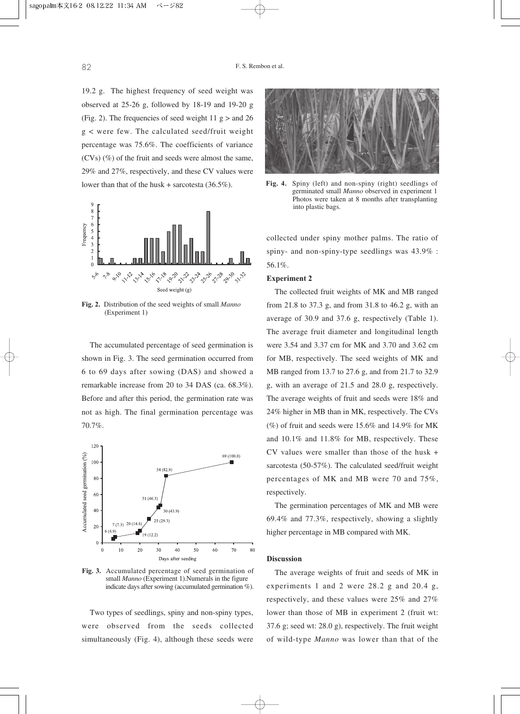19.2 g. The highest frequency of seed weight was observed at 25-26 g, followed by 18-19 and 19-20 g (Fig. 2). The frequencies of seed weight  $11 \text{ g} >$  and  $26$ g < were few. The calculated seed/fruit weight percentage was 75.6%. The coefficients of variance (CVs) (%) of the fruit and seeds were almost the same, 29% and 27%, respectively, and these CV values were lower than that of the husk + sarcotesta (36.5%).



**Fig. 2.** Distribution of the seed weights of small *Manno* (Experiment 1)

The accumulated percentage of seed germination is shown in Fig. 3. The seed germination occurred from 6 to 69 days after sowing (DAS) and showed a remarkable increase from 20 to 34 DAS (ca. 68.3%). Before and after this period, the germination rate was not as high. The final germination percentage was 70.7%.



**Fig. 3.** Accumulated percentage of seed germination of small *Manno* (Experiment 1).Numerals in the figure indicate days after sowing (accumulated germination %).

Two types of seedlings, spiny and non-spiny types, were observed from the seeds collected simultaneously (Fig. 4), although these seeds were



**Fig. 4.** Spiny (left) and non-spiny (right) seedlings of germinated small *Manno* observed in experiment 1 Photos were taken at 8 months after transplanting into plastic bags.

collected under spiny mother palms. The ratio of spiny- and non-spiny-type seedlings was 43.9% : 56.1%.

## **Experiment 2**

The collected fruit weights of MK and MB ranged from 21.8 to 37.3 g, and from 31.8 to 46.2 g, with an average of 30.9 and 37.6 g, respectively (Table 1). The average fruit diameter and longitudinal length were 3.54 and 3.37 cm for MK and 3.70 and 3.62 cm for MB, respectively. The seed weights of MK and MB ranged from 13.7 to 27.6 g, and from 21.7 to 32.9 g, with an average of 21.5 and 28.0 g, respectively. The average weights of fruit and seeds were 18% and 24% higher in MB than in MK, respectively. The CVs  $(\%)$  of fruit and seeds were 15.6% and 14.9% for MK and 10.1% and 11.8% for MB, respectively. These CV values were smaller than those of the husk + sarcotesta (50-57%). The calculated seed/fruit weight percentages of MK and MB were 70 and 75%, respectively.

The germination percentages of MK and MB were 69.4% and 77.3%, respectively, showing a slightly higher percentage in MB compared with MK.

# **Discussion**

The average weights of fruit and seeds of MK in experiments 1 and 2 were 28.2 g and 20.4 g, respectively, and these values were 25% and 27% lower than those of MB in experiment 2 (fruit wt: 37.6 g; seed wt: 28.0 g), respectively. The fruit weight of wild-type *Manno* was lower than that of the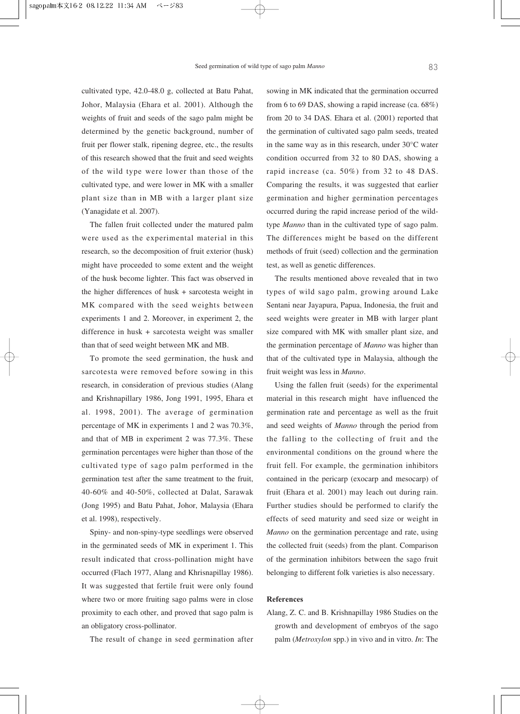cultivated type, 42.0-48.0 g, collected at Batu Pahat, Johor, Malaysia (Ehara et al. 2001). Although the weights of fruit and seeds of the sago palm might be determined by the genetic background, number of fruit per flower stalk, ripening degree, etc., the results of this research showed that the fruit and seed weights of the wild type were lower than those of the cultivated type, and were lower in MK with a smaller plant size than in MB with a larger plant size (Yanagidate et al. 2007).

The fallen fruit collected under the matured palm were used as the experimental material in this research, so the decomposition of fruit exterior (husk) might have proceeded to some extent and the weight of the husk become lighter. This fact was observed in the higher differences of husk + sarcotesta weight in MK compared with the seed weights between experiments 1 and 2. Moreover, in experiment 2, the difference in husk + sarcotesta weight was smaller than that of seed weight between MK and MB.

To promote the seed germination, the husk and sarcotesta were removed before sowing in this research, in consideration of previous studies (Alang and Krishnapillary 1986, Jong 1991, 1995, Ehara et al. 1998, 2001). The average of germination percentage of MK in experiments 1 and 2 was 70.3%, and that of MB in experiment 2 was 77.3%. These germination percentages were higher than those of the cultivated type of sago palm performed in the germination test after the same treatment to the fruit, 40-60% and 40-50%, collected at Dalat, Sarawak (Jong 1995) and Batu Pahat, Johor, Malaysia (Ehara et al. 1998), respectively.

Spiny- and non-spiny-type seedlings were observed in the germinated seeds of MK in experiment 1. This result indicated that cross-pollination might have occurred (Flach 1977, Alang and Khrisnapillay 1986). It was suggested that fertile fruit were only found where two or more fruiting sago palms were in close proximity to each other, and proved that sago palm is an obligatory cross-pollinator.

The result of change in seed germination after

sowing in MK indicated that the germination occurred from 6 to 69 DAS, showing a rapid increase (ca. 68%) from 20 to 34 DAS. Ehara et al. (2001) reported that the germination of cultivated sago palm seeds, treated in the same way as in this research, under 30°C water condition occurred from 32 to 80 DAS, showing a rapid increase (ca. 50%) from 32 to 48 DAS. Comparing the results, it was suggested that earlier germination and higher germination percentages occurred during the rapid increase period of the wildtype *Manno* than in the cultivated type of sago palm. The differences might be based on the different methods of fruit (seed) collection and the germination test, as well as genetic differences.

The results mentioned above revealed that in two types of wild sago palm, growing around Lake Sentani near Jayapura, Papua, Indonesia, the fruit and seed weights were greater in MB with larger plant size compared with MK with smaller plant size, and the germination percentage of *Manno* was higher than that of the cultivated type in Malaysia, although the fruit weight was less in *Manno*.

Using the fallen fruit (seeds) for the experimental material in this research might have influenced the germination rate and percentage as well as the fruit and seed weights of *Manno* through the period from the falling to the collecting of fruit and the environmental conditions on the ground where the fruit fell. For example, the germination inhibitors contained in the pericarp (exocarp and mesocarp) of fruit (Ehara et al. 2001) may leach out during rain. Further studies should be performed to clarify the effects of seed maturity and seed size or weight in *Manno* on the germination percentage and rate, using the collected fruit (seeds) from the plant. Comparison of the germination inhibitors between the sago fruit belonging to different folk varieties is also necessary.

### **References**

Alang, Z. C. and B. Krishnapillay 1986 Studies on the growth and development of embryos of the sago palm (*Metroxylon* spp.) in vivo and in vitro. *In*: The